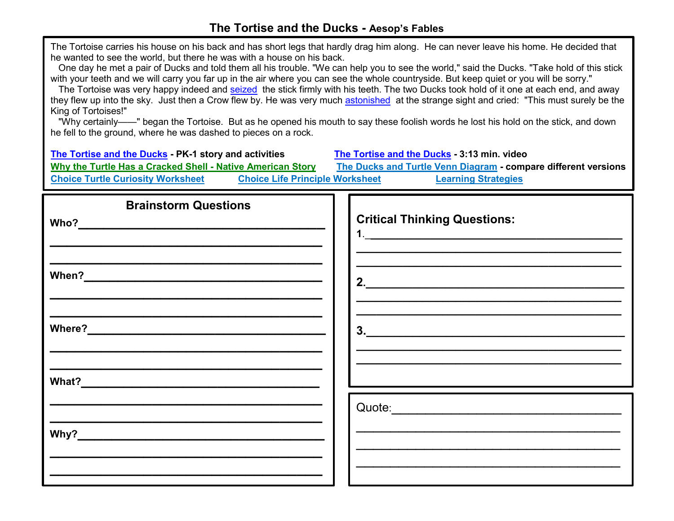## **The Tortise and the Ducks - Aesop's Fables**

| The Tortoise carries his house on his back and has short legs that hardly drag him along.  He can never leave his home. He decided that<br>he wanted to see the world, but there he was with a house on his back.<br>One day he met a pair of Ducks and told them all his trouble. "We can help you to see the world," said the Ducks. "Take hold of this stick<br>with your teeth and we will carry you far up in the air where you can see the whole countryside. But keep quiet or you will be sorry."<br>The Tortoise was very happy indeed and seized the stick firmly with his teeth. The two Ducks took hold of it one at each end, and away<br>they flew up into the sky. Just then a Crow flew by. He was very much astonished at the strange sight and cried: "This must surely be the<br>King of Tortoises!"<br>"Why certainly——" began the Tortoise. But as he opened his mouth to say these foolish words he lost his hold on the stick, and down<br>he fell to the ground, where he was dashed to pieces on a rock. |                                                                                                                       |  |
|-----------------------------------------------------------------------------------------------------------------------------------------------------------------------------------------------------------------------------------------------------------------------------------------------------------------------------------------------------------------------------------------------------------------------------------------------------------------------------------------------------------------------------------------------------------------------------------------------------------------------------------------------------------------------------------------------------------------------------------------------------------------------------------------------------------------------------------------------------------------------------------------------------------------------------------------------------------------------------------------------------------------------------------|-----------------------------------------------------------------------------------------------------------------------|--|
| The Tortise and the Ducks - PK-1 story and activities<br>The Tortise and the Ducks - 3:13 min. video<br>Why the Turtle Has a Cracked Shell - Native American Story<br>The Ducks and Turtle Venn Diagram - compare different versions<br>Choice Turtle Curiosity Worksheet Choice Life Principle Worksheet<br><b>Learning Strategies</b>                                                                                                                                                                                                                                                                                                                                                                                                                                                                                                                                                                                                                                                                                           |                                                                                                                       |  |
| <b>Brainstorm Questions</b>                                                                                                                                                                                                                                                                                                                                                                                                                                                                                                                                                                                                                                                                                                                                                                                                                                                                                                                                                                                                       | <b>Critical Thinking Questions:</b>                                                                                   |  |
|                                                                                                                                                                                                                                                                                                                                                                                                                                                                                                                                                                                                                                                                                                                                                                                                                                                                                                                                                                                                                                   | <u> 1990 - Johann John Stoff, deutscher Stoffen und der Stoffen und der Stoffen und der Stoffen und der Stoffen u</u> |  |
|                                                                                                                                                                                                                                                                                                                                                                                                                                                                                                                                                                                                                                                                                                                                                                                                                                                                                                                                                                                                                                   |                                                                                                                       |  |
|                                                                                                                                                                                                                                                                                                                                                                                                                                                                                                                                                                                                                                                                                                                                                                                                                                                                                                                                                                                                                                   |                                                                                                                       |  |
|                                                                                                                                                                                                                                                                                                                                                                                                                                                                                                                                                                                                                                                                                                                                                                                                                                                                                                                                                                                                                                   |                                                                                                                       |  |
|                                                                                                                                                                                                                                                                                                                                                                                                                                                                                                                                                                                                                                                                                                                                                                                                                                                                                                                                                                                                                                   |                                                                                                                       |  |